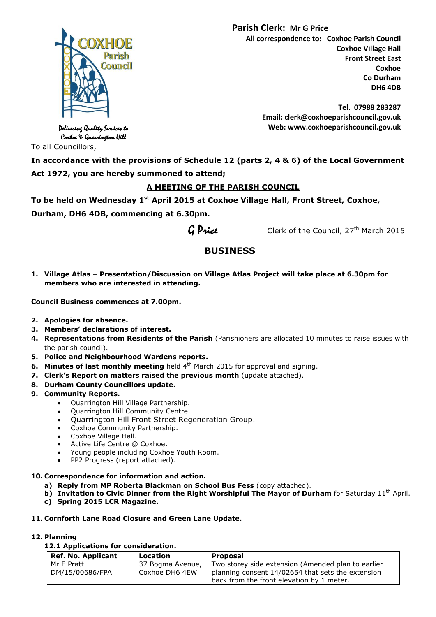

To all Councillors,

**In accordance with the provisions of Schedule 12 (parts 2, 4 & 6) of the Local Government Act 1972, you are hereby summoned to attend;**

# **A MEETING OF THE PARISH COUNCIL**

**To be held on Wednesday 1 st April 2015 at Coxhoe Village Hall, Front Street, Coxhoe, Durham, DH6 4DB, commencing at 6.30pm.**

 $G$  Price Clerk of the Council, 27<sup>th</sup> March 2015

# **BUSINESS**

**1. Village Atlas – Presentation/Discussion on Village Atlas Project will take place at 6.30pm for members who are interested in attending.**

**Council Business commences at 7.00pm.**

- **2. Apologies for absence.**
- **3. Members' declarations of interest.**
- **4. Representations from Residents of the Parish** (Parishioners are allocated 10 minutes to raise issues with the parish council).
- **5. Police and Neighbourhood Wardens reports.**
- **6. Minutes of last monthly meeting** held 4<sup>th</sup> March 2015 for approval and signing.
- **7. Clerk's Report on matters raised the previous month** (update attached).
- **8. Durham County Councillors update.**
- **9. Community Reports.**
	- Quarrington Hill Village Partnership.
	- Quarrington Hill Community Centre.
	- Quarrington Hill Front Street Regeneration Group.
	- Coxhoe Community Partnership.
	- Coxhoe Village Hall.
	- Active Life Centre @ Coxhoe.
	- Young people including Coxhoe Youth Room.
	- PP2 Progress (report attached).
- **10. Correspondence for information and action.**
	- **a) Reply from MP Roberta Blackman on School Bus Fess** (copy attached).
	- **b)** Invitation to Civic Dinner from the Right Worshipful The Mayor of Durham for Saturday 11<sup>th</sup> April.
	- **c) Spring 2015 LCR Magazine.**

# **11. Cornforth Lane Road Closure and Green Lane Update.**

# **12. Planning**

# **12.1 Applications for consideration.**

| Ref. No. Applicant            | Location                           | <b>Proposal</b>                                                                                         |
|-------------------------------|------------------------------------|---------------------------------------------------------------------------------------------------------|
| Mr E Pratt<br>DM/15/00686/FPA | 37 Bogma Avenue,<br>Coxhoe DH6 4EW | Two storey side extension (Amended plan to earlier<br>planning consent 14/02654 that sets the extension |
|                               |                                    | back from the front elevation by 1 meter.                                                               |